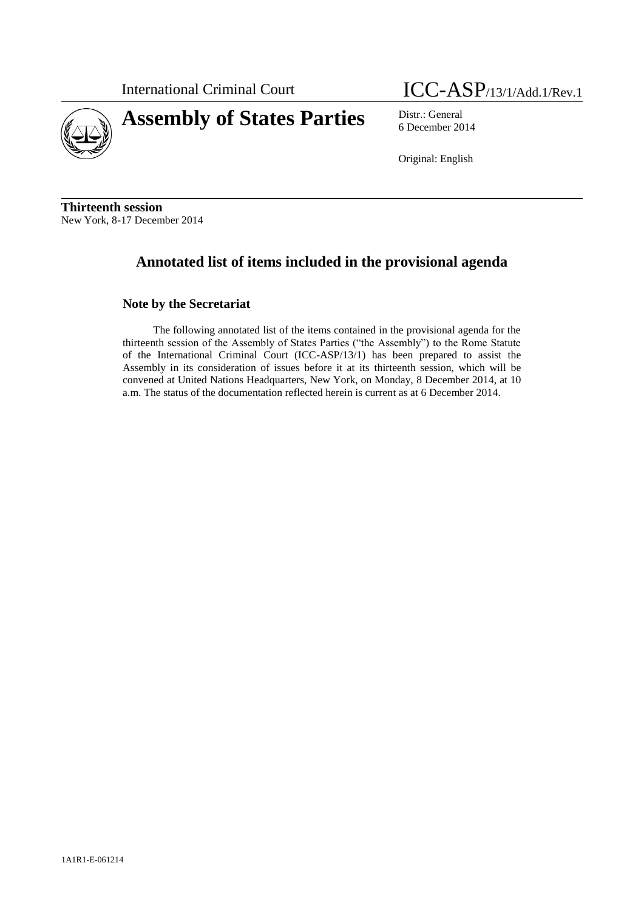

# **Assembly of States Parties** Distr.: General



6 December 2014

Original: English

**Thirteenth session** New York, 8-17 December 2014

## **Annotated list of items included in the provisional agenda**

## **Note by the Secretariat**

The following annotated list of the items contained in the provisional agenda for the thirteenth session of the Assembly of States Parties ("the Assembly") to the Rome Statute of the International Criminal Court (ICC-ASP/13/1) has been prepared to assist the Assembly in its consideration of issues before it at its thirteenth session, which will be convened at United Nations Headquarters, New York, on Monday, 8 December 2014, at 10 a.m. The status of the documentation reflected herein is current as at 6 December 2014.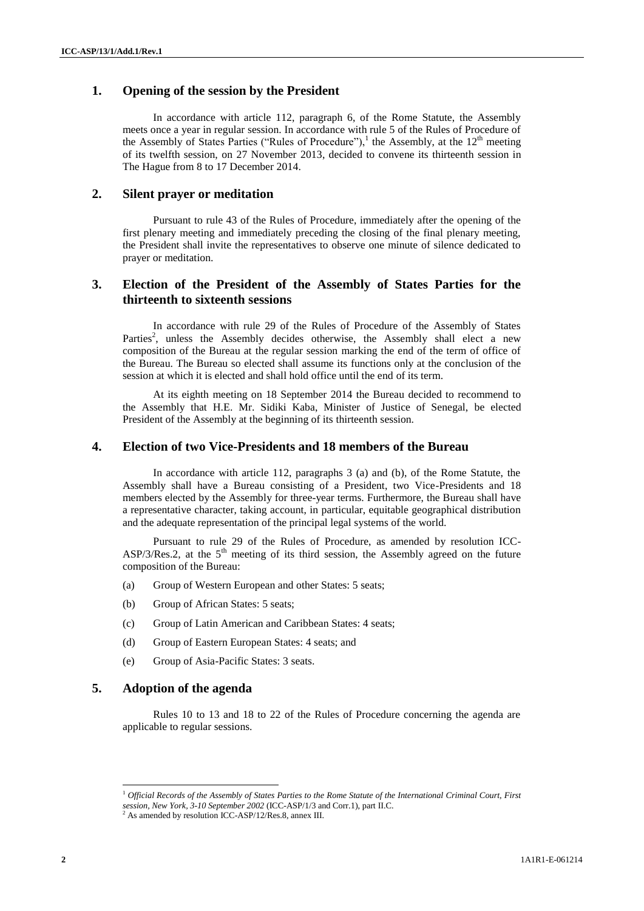## **1. Opening of the session by the President**

In accordance with article 112, paragraph 6, of the Rome Statute, the Assembly meets once a year in regular session. In accordance with rule 5 of the Rules of Procedure of the Assembly of States Parties ("Rules of Procedure"),<sup>1</sup> the Assembly, at the  $12<sup>th</sup>$  meeting of its twelfth session, on 27 November 2013, decided to convene its thirteenth session in The Hague from 8 to 17 December 2014.

#### **2. Silent prayer or meditation**

Pursuant to rule 43 of the Rules of Procedure, immediately after the opening of the first plenary meeting and immediately preceding the closing of the final plenary meeting, the President shall invite the representatives to observe one minute of silence dedicated to prayer or meditation.

## **3. Election of the President of the Assembly of States Parties for the thirteenth to sixteenth sessions**

In accordance with rule 29 of the Rules of Procedure of the Assembly of States Parties<sup>2</sup>, unless the Assembly decides otherwise, the Assembly shall elect a new composition of the Bureau at the regular session marking the end of the term of office of the Bureau. The Bureau so elected shall assume its functions only at the conclusion of the session at which it is elected and shall hold office until the end of its term.

At its eighth meeting on 18 September 2014 the Bureau decided to recommend to the Assembly that H.E. Mr. Sidiki Kaba, Minister of Justice of Senegal, be elected President of the Assembly at the beginning of its thirteenth session.

## **4. Election of two Vice-Presidents and 18 members of the Bureau**

In accordance with article 112, paragraphs 3 (a) and (b), of the Rome Statute, the Assembly shall have a Bureau consisting of a President, two Vice-Presidents and 18 members elected by the Assembly for three-year terms. Furthermore, the Bureau shall have a representative character, taking account, in particular, equitable geographical distribution and the adequate representation of the principal legal systems of the world.

Pursuant to rule 29 of the Rules of Procedure, as amended by resolution ICC-ASP/3/Res.2, at the  $5<sup>th</sup>$  meeting of its third session, the Assembly agreed on the future composition of the Bureau:

- (a) Group of Western European and other States: 5 seats;
- (b) Group of African States: 5 seats;
- (c) Group of Latin American and Caribbean States: 4 seats;
- (d) Group of Eastern European States: 4 seats; and
- (e) Group of Asia-Pacific States: 3 seats.

## **5. Adoption of the agenda**

l

Rules 10 to 13 and 18 to 22 of the Rules of Procedure concerning the agenda are applicable to regular sessions.

<sup>1</sup> *Official Records of the Assembly of States Parties to the Rome Statute of the International Criminal Court, First session, New York, 3-10 September 2002* (ICC-ASP/1/3 and Corr.1), part II.C.

 $^{2}$  As amended by resolution ICC-ASP/12/Res.8, annex III.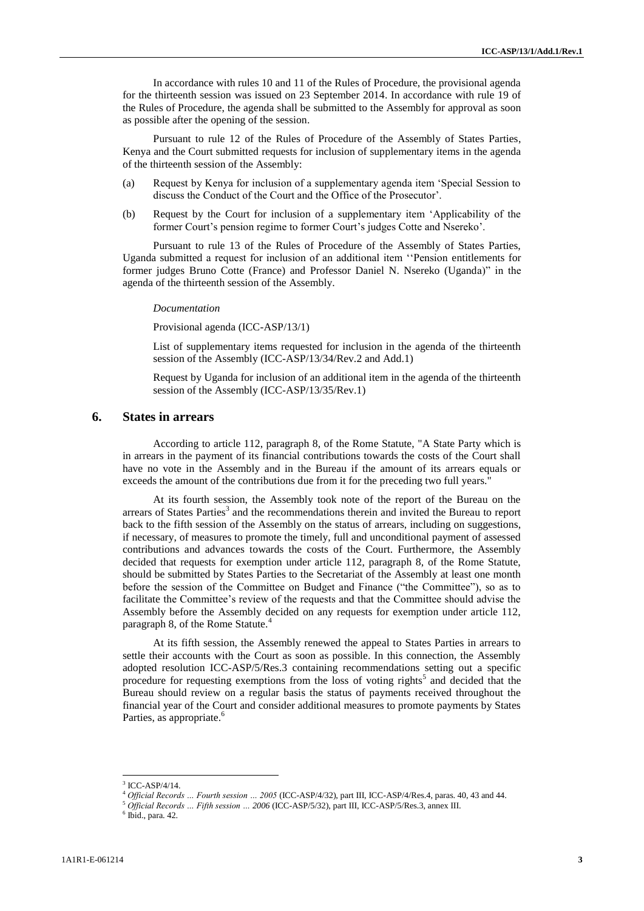In accordance with rules 10 and 11 of the Rules of Procedure, the provisional agenda for the thirteenth session was issued on 23 September 2014. In accordance with rule 19 of the Rules of Procedure, the agenda shall be submitted to the Assembly for approval as soon as possible after the opening of the session.

Pursuant to rule 12 of the Rules of Procedure of the Assembly of States Parties, Kenya and the Court submitted requests for inclusion of supplementary items in the agenda of the thirteenth session of the Assembly:

- (a) Request by Kenya for inclusion of a supplementary agenda item 'Special Session to discuss the Conduct of the Court and the Office of the Prosecutor'.
- (b) Request by the Court for inclusion of a supplementary item 'Applicability of the former Court's pension regime to former Court's judges Cotte and Nsereko'.

Pursuant to rule 13 of the Rules of Procedure of the Assembly of States Parties, Uganda submitted a request for inclusion of an additional item ''Pension entitlements for former judges Bruno Cotte (France) and Professor Daniel N. Nsereko (Uganda)" in the agenda of the thirteenth session of the Assembly.

#### *Documentation*

Provisional agenda (ICC-ASP/13/1)

List of supplementary items requested for inclusion in the agenda of the thirteenth session of the Assembly (ICC-ASP/13/34/Rev.2 and Add.1)

Request by Uganda for inclusion of an additional item in the agenda of the thirteenth session of the Assembly (ICC-ASP/13/35/Rev.1)

## **6. States in arrears**

According to article 112, paragraph 8, of the Rome Statute, "A State Party which is in arrears in the payment of its financial contributions towards the costs of the Court shall have no vote in the Assembly and in the Bureau if the amount of its arrears equals or exceeds the amount of the contributions due from it for the preceding two full years."

At its fourth session, the Assembly took note of the report of the Bureau on the arrears of States Parties<sup>3</sup> and the recommendations therein and invited the Bureau to report back to the fifth session of the Assembly on the status of arrears, including on suggestions, if necessary, of measures to promote the timely, full and unconditional payment of assessed contributions and advances towards the costs of the Court. Furthermore, the Assembly decided that requests for exemption under article 112, paragraph 8, of the Rome Statute, should be submitted by States Parties to the Secretariat of the Assembly at least one month before the session of the Committee on Budget and Finance ("the Committee"), so as to facilitate the Committee's review of the requests and that the Committee should advise the Assembly before the Assembly decided on any requests for exemption under article 112, paragraph 8, of the Rome Statute.<sup>4</sup>

At its fifth session, the Assembly renewed the appeal to States Parties in arrears to settle their accounts with the Court as soon as possible. In this connection, the Assembly adopted resolution ICC-ASP/5/Res.3 containing recommendations setting out a specific procedure for requesting exemptions from the loss of voting rights<sup>5</sup> and decided that the Bureau should review on a regular basis the status of payments received throughout the financial year of the Court and consider additional measures to promote payments by States Parties, as appropriate.<sup>6</sup>

<sup>3</sup> ICC-ASP/4/14.

<sup>4</sup> *Official Records … Fourth session … 2005* (ICC-ASP/4/32), part III, ICC-ASP/4/Res.4, paras. 40, 43 and 44.

<sup>5</sup> *Official Records … Fifth session … 2006* (ICC-ASP/5/32), part III, ICC-ASP/5/Res.3, annex III.

 $6$  Ibid., para. 42.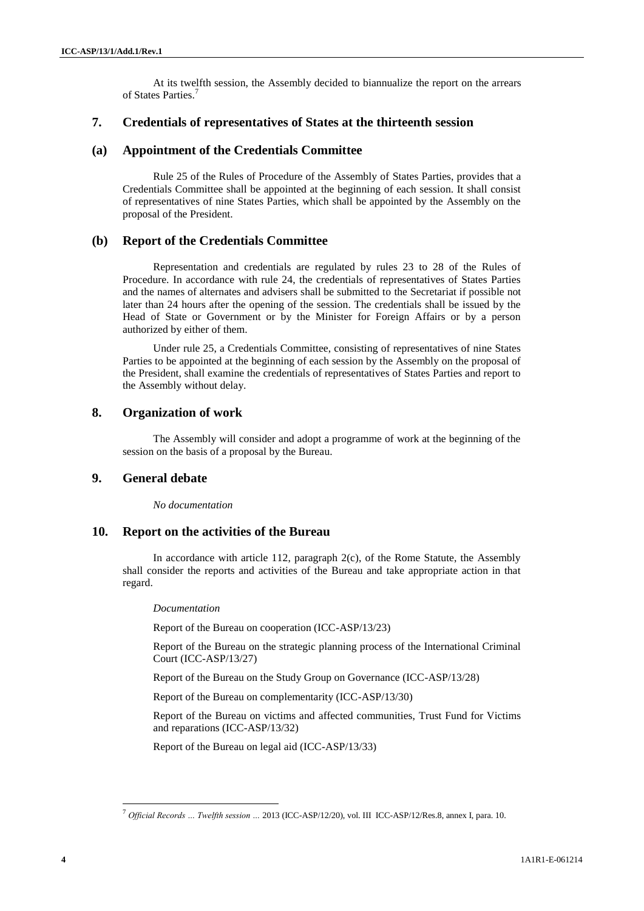At its twelfth session, the Assembly decided to biannualize the report on the arrears of States Parties.<sup>7</sup>

## **7. Credentials of representatives of States at the thirteenth session**

## **(a) Appointment of the Credentials Committee**

Rule 25 of the Rules of Procedure of the Assembly of States Parties, provides that a Credentials Committee shall be appointed at the beginning of each session. It shall consist of representatives of nine States Parties, which shall be appointed by the Assembly on the proposal of the President.

## **(b) Report of the Credentials Committee**

Representation and credentials are regulated by rules 23 to 28 of the Rules of Procedure. In accordance with rule 24, the credentials of representatives of States Parties and the names of alternates and advisers shall be submitted to the Secretariat if possible not later than 24 hours after the opening of the session. The credentials shall be issued by the Head of State or Government or by the Minister for Foreign Affairs or by a person authorized by either of them.

Under rule 25, a Credentials Committee, consisting of representatives of nine States Parties to be appointed at the beginning of each session by the Assembly on the proposal of the President, shall examine the credentials of representatives of States Parties and report to the Assembly without delay.

## **8. Organization of work**

The Assembly will consider and adopt a programme of work at the beginning of the session on the basis of a proposal by the Bureau.

## **9. General debate**

*No documentation*

#### **10. Report on the activities of the Bureau**

In accordance with article 112, paragraph 2(c), of the Rome Statute, the Assembly shall consider the reports and activities of the Bureau and take appropriate action in that regard.

#### *Documentation*

Report of the Bureau on cooperation (ICC-ASP/13/23)

Report of the Bureau on the strategic planning process of the International Criminal Court (ICC-ASP/13/27)

Report of the Bureau on the Study Group on Governance (ICC-ASP/13/28)

Report of the Bureau on complementarity (ICC-ASP/13/30)

Report of the Bureau on victims and affected communities, Trust Fund for Victims and reparations (ICC-ASP/13/32)

Report of the Bureau on legal aid (ICC-ASP/13/33)

<sup>7</sup> *Official Records … Twelfth session …* 2013 (ICC-ASP/12/20), vol. III ICC-ASP/12/Res.8, annex I, para. 10.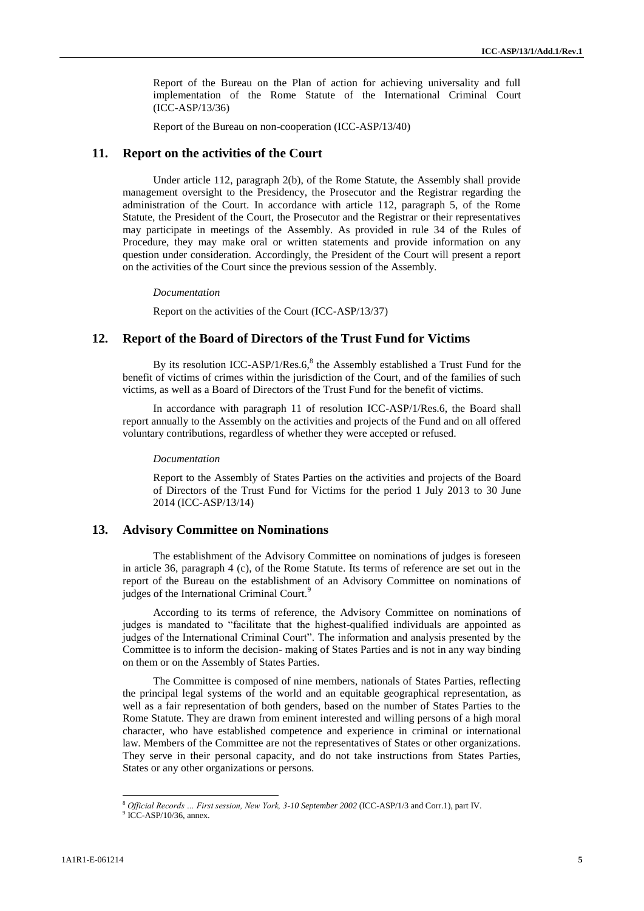Report of the Bureau on the Plan of action for achieving universality and full implementation of the Rome Statute of the International Criminal Court (ICC-ASP/13/36)

Report of the Bureau on non-cooperation (ICC-ASP/13/40)

#### **11. Report on the activities of the Court**

Under article 112, paragraph 2(b), of the Rome Statute, the Assembly shall provide management oversight to the Presidency, the Prosecutor and the Registrar regarding the administration of the Court. In accordance with article 112, paragraph 5, of the Rome Statute, the President of the Court, the Prosecutor and the Registrar or their representatives may participate in meetings of the Assembly. As provided in rule 34 of the Rules of Procedure, they may make oral or written statements and provide information on any question under consideration. Accordingly, the President of the Court will present a report on the activities of the Court since the previous session of the Assembly.

*Documentation*

Report on the activities of the Court (ICC-ASP/13/37)

## **12. Report of the Board of Directors of the Trust Fund for Victims**

By its resolution ICC-ASP/1/Res.6, $8$  the Assembly established a Trust Fund for the benefit of victims of crimes within the jurisdiction of the Court, and of the families of such victims, as well as a Board of Directors of the Trust Fund for the benefit of victims.

In accordance with paragraph 11 of resolution ICC-ASP/1/Res.6, the Board shall report annually to the Assembly on the activities and projects of the Fund and on all offered voluntary contributions, regardless of whether they were accepted or refused.

*Documentation*

Report to the Assembly of States Parties on the activities and projects of the Board of Directors of the Trust Fund for Victims for the period 1 July 2013 to 30 June 2014 (ICC-ASP/13/14)

## **13. Advisory Committee on Nominations**

The establishment of the Advisory Committee on nominations of judges is foreseen in article 36, paragraph 4 (c), of the Rome Statute. Its terms of reference are set out in the report of the Bureau on the establishment of an Advisory Committee on nominations of judges of the International Criminal Court.<sup>9</sup>

According to its terms of reference, the Advisory Committee on nominations of judges is mandated to "facilitate that the highest-qualified individuals are appointed as judges of the International Criminal Court". The information and analysis presented by the Committee is to inform the decision- making of States Parties and is not in any way binding on them or on the Assembly of States Parties.

The Committee is composed of nine members, nationals of States Parties, reflecting the principal legal systems of the world and an equitable geographical representation, as well as a fair representation of both genders, based on the number of States Parties to the Rome Statute. They are drawn from eminent interested and willing persons of a high moral character, who have established competence and experience in criminal or international law. Members of the Committee are not the representatives of States or other organizations. They serve in their personal capacity, and do not take instructions from States Parties, States or any other organizations or persons.

 $\overline{a}$ 

<sup>8</sup> *Official Records … First session, New York, 3-10 September 2002* (ICC-ASP/1/3 and Corr.1), part IV.

 $9$  ICC-ASP/10/36, annex.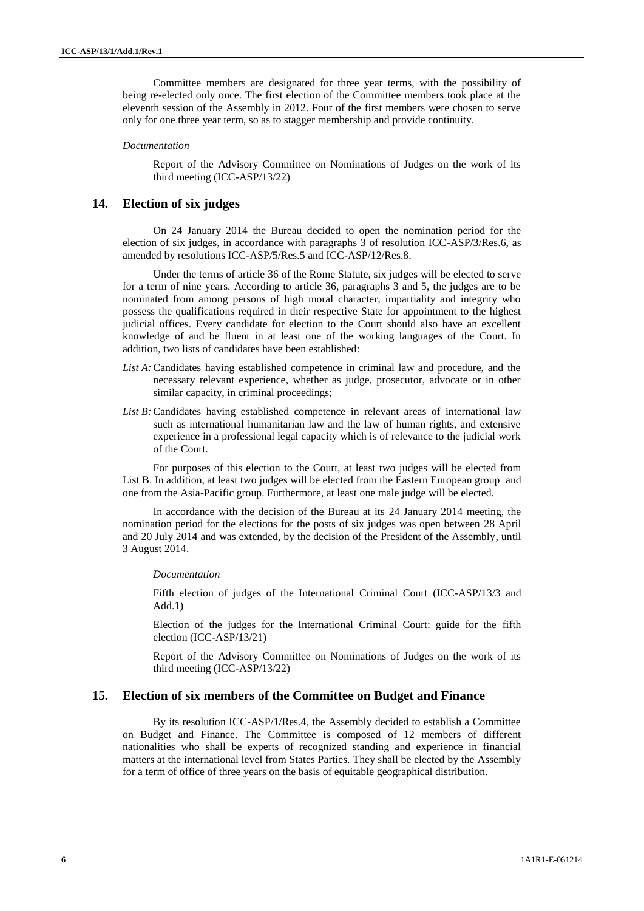Committee members are designated for three year terms, with the possibility of being re-elected only once. The first election of the Committee members took place at the eleventh session of the Assembly in 2012. Four of the first members were chosen to serve only for one three year term, so as to stagger membership and provide continuity.

#### *Documentation*

Report of the Advisory Committee on Nominations of Judges on the work of its third meeting (ICC-ASP/13/22)

#### **14. Election of six judges**

On 24 January 2014 the Bureau decided to open the nomination period for the election of six judges, in accordance with paragraphs 3 of resolution ICC-ASP/3/Res.6, as amended by resolutions ICC-ASP/5/Res.5 and ICC-ASP/12/Res.8.

Under the terms of article 36 of the Rome Statute, six judges will be elected to serve for a term of nine years. According to article 36, paragraphs 3 and 5, the judges are to be nominated from among persons of high moral character, impartiality and integrity who possess the qualifications required in their respective State for appointment to the highest judicial offices. Every candidate for election to the Court should also have an excellent knowledge of and be fluent in at least one of the working languages of the Court. In addition, two lists of candidates have been established:

- *List A:*Candidates having established competence in criminal law and procedure, and the necessary relevant experience, whether as judge, prosecutor, advocate or in other similar capacity, in criminal proceedings;
- List B: Candidates having established competence in relevant areas of international law such as international humanitarian law and the law of human rights, and extensive experience in a professional legal capacity which is of relevance to the judicial work of the Court.

For purposes of this election to the Court, at least two judges will be elected from List B. In addition, at least two judges will be elected from the Eastern European group and one from the Asia-Pacific group. Furthermore, at least one male judge will be elected.

In accordance with the decision of the Bureau at its 24 January 2014 meeting, the nomination period for the elections for the posts of six judges was open between 28 April and 20 July 2014 and was extended, by the decision of the President of the Assembly, until 3 August 2014.

#### *Documentation*

Fifth election of judges of the International Criminal Court (ICC-ASP/13/3 and Add.1)

Election of the judges for the International Criminal Court: guide for the fifth election (ICC-ASP/13/21)

Report of the Advisory Committee on Nominations of Judges on the work of its third meeting (ICC-ASP/13/22)

## **15. Election of six members of the Committee on Budget and Finance**

By its resolution ICC-ASP/1/Res.4, the Assembly decided to establish a Committee on Budget and Finance. The Committee is composed of 12 members of different nationalities who shall be experts of recognized standing and experience in financial matters at the international level from States Parties. They shall be elected by the Assembly for a term of office of three years on the basis of equitable geographical distribution.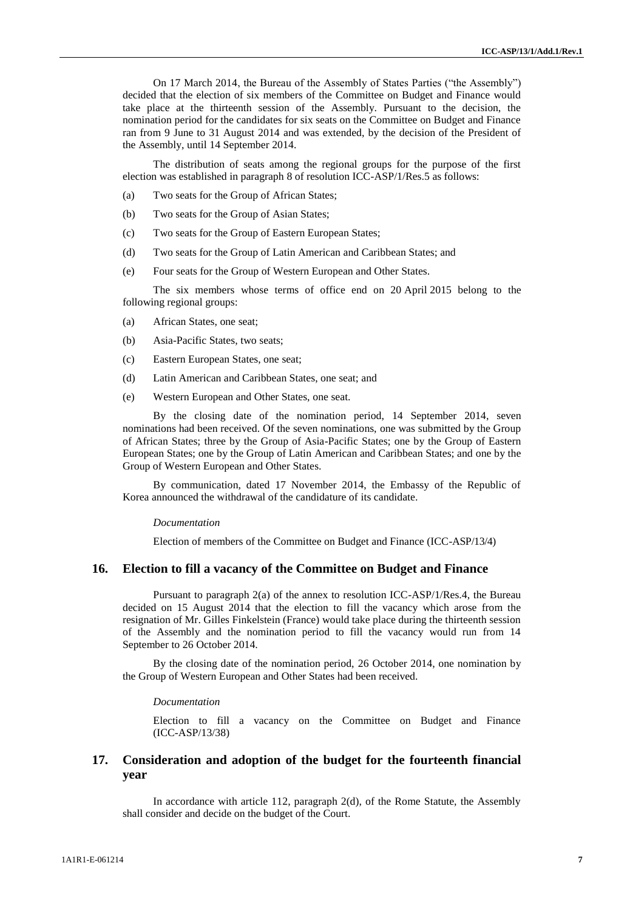On 17 March 2014, the Bureau of the Assembly of States Parties ("the Assembly") decided that the election of six members of the Committee on Budget and Finance would take place at the thirteenth session of the Assembly. Pursuant to the decision, the nomination period for the candidates for six seats on the Committee on Budget and Finance ran from 9 June to 31 August 2014 and was extended, by the decision of the President of the Assembly, until 14 September 2014.

The distribution of seats among the regional groups for the purpose of the first election was established in paragraph 8 of resolution ICC-ASP/1/Res.5 as follows:

- (a) Two seats for the Group of African States;
- (b) Two seats for the Group of Asian States;
- (c) Two seats for the Group of Eastern European States;
- (d) Two seats for the Group of Latin American and Caribbean States; and
- (e) Four seats for the Group of Western European and Other States.

The six members whose terms of office end on 20 April 2015 belong to the following regional groups:

- (a) African States, one seat;
- (b) Asia-Pacific States, two seats;
- (c) Eastern European States, one seat;
- (d) Latin American and Caribbean States, one seat; and
- (e) Western European and Other States, one seat.

By the closing date of the nomination period, 14 September 2014, seven nominations had been received. Of the seven nominations, one was submitted by the Group of African States; three by the Group of Asia-Pacific States; one by the Group of Eastern European States; one by the Group of Latin American and Caribbean States; and one by the Group of Western European and Other States.

By communication, dated 17 November 2014, the Embassy of the Republic of Korea announced the withdrawal of the candidature of its candidate.

#### *Documentation*

Election of members of the Committee on Budget and Finance (ICC-ASP/13/4)

## **16. Election to fill a vacancy of the Committee on Budget and Finance**

Pursuant to paragraph 2(a) of the annex to resolution ICC-ASP/1/Res.4, the Bureau decided on 15 August 2014 that the election to fill the vacancy which arose from the resignation of Mr. Gilles Finkelstein (France) would take place during the thirteenth session of the Assembly and the nomination period to fill the vacancy would run from 14 September to 26 October 2014.

By the closing date of the nomination period, 26 October 2014, one nomination by the Group of Western European and Other States had been received.

#### *Documentation*

Election to fill a vacancy on the Committee on Budget and Finance (ICC-ASP/13/38)

## **17. Consideration and adoption of the budget for the fourteenth financial year**

In accordance with article 112, paragraph 2(d), of the Rome Statute, the Assembly shall consider and decide on the budget of the Court.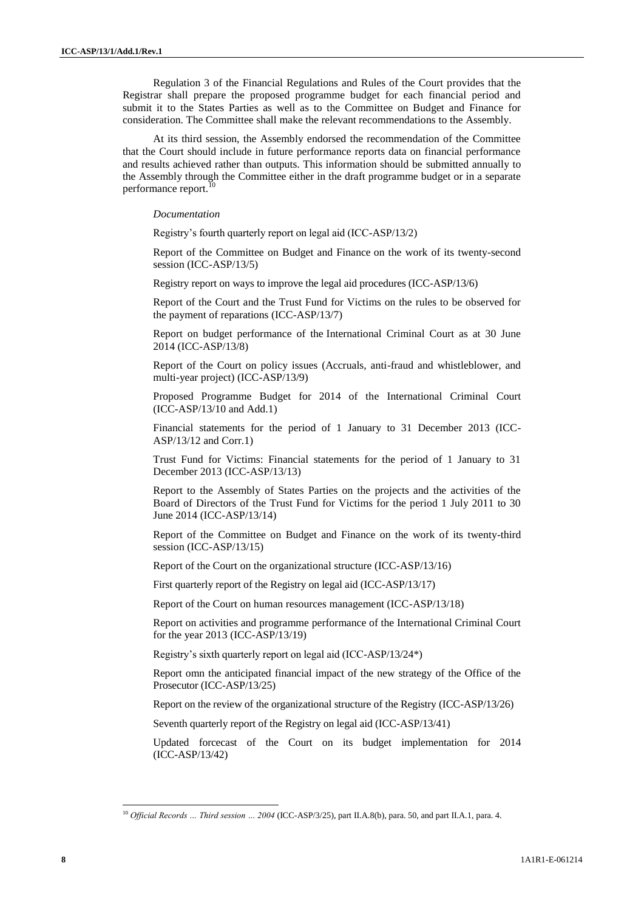Regulation 3 of the Financial Regulations and Rules of the Court provides that the Registrar shall prepare the proposed programme budget for each financial period and submit it to the States Parties as well as to the Committee on Budget and Finance for consideration. The Committee shall make the relevant recommendations to the Assembly.

At its third session, the Assembly endorsed the recommendation of the Committee that the Court should include in future performance reports data on financial performance and results achieved rather than outputs. This information should be submitted annually to the Assembly through the Committee either in the draft programme budget or in a separate performance report.

#### *Documentation*

Registry's fourth quarterly report on legal aid (ICC-ASP/13/2)

Report of the Committee on Budget and Finance on the work of its twenty-second session (ICC-ASP/13/5)

Registry report on ways to improve the legal aid procedures (ICC-ASP/13/6)

Report of the Court and the Trust Fund for Victims on the rules to be observed for the payment of reparations (ICC-ASP/13/7)

Report on budget performance of the International Criminal Court as at 30 June 2014 (ICC-ASP/13/8)

Report of the Court on policy issues (Accruals, anti-fraud and whistleblower, and multi-year project) (ICC-ASP/13/9)

Proposed Programme Budget for 2014 of the International Criminal Court (ICC-ASP/13/10 and Add.1)

Financial statements for the period of 1 January to 31 December 2013 (ICC-ASP/13/12 and Corr.1)

Trust Fund for Victims: Financial statements for the period of 1 January to 31 December 2013 (ICC-ASP/13/13)

Report to the Assembly of States Parties on the projects and the activities of the Board of Directors of the Trust Fund for Victims for the period 1 July 2011 to 30 June 2014 (ICC-ASP/13/14)

Report of the Committee on Budget and Finance on the work of its twenty-third session (ICC-ASP/13/15)

Report of the Court on the organizational structure (ICC-ASP/13/16)

First quarterly report of the Registry on legal aid (ICC-ASP/13/17)

Report of the Court on human resources management (ICC-ASP/13/18)

Report on activities and programme performance of the International Criminal Court for the year 2013 (ICC-ASP/13/19)

Registry's sixth quarterly report on legal aid (ICC-ASP/13/24\*)

Report omn the anticipated financial impact of the new strategy of the Office of the Prosecutor (ICC-ASP/13/25)

Report on the review of the organizational structure of the Registry (ICC-ASP/13/26)

Seventh quarterly report of the Registry on legal aid (ICC-ASP/13/41)

Updated forcecast of the Court on its budget implementation for 2014 (ICC-ASP/13/42)

<sup>10</sup> *Official Records … Third session … 2004* (ICC-ASP/3/25), part II.A.8(b), para. 50, and part II.A.1, para. 4.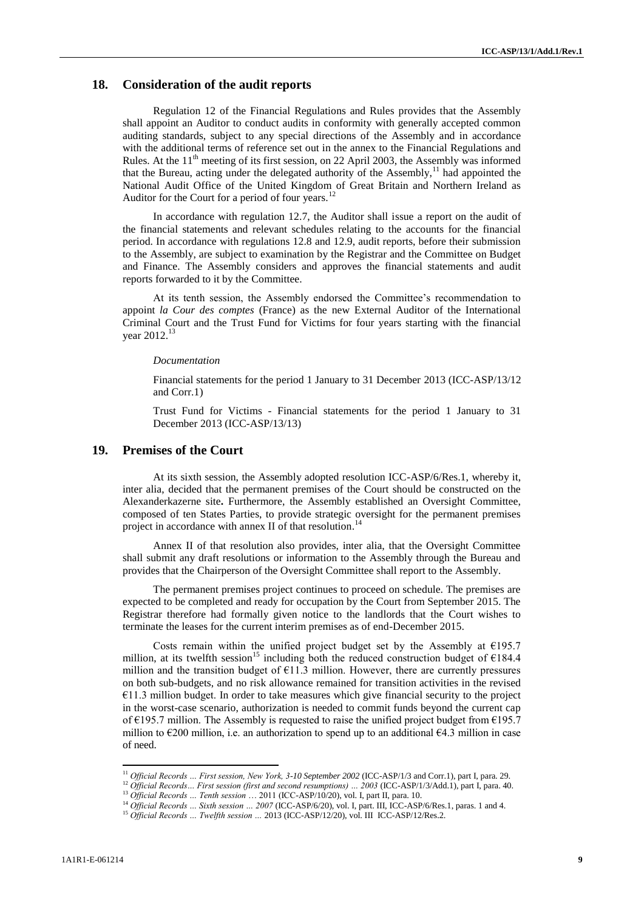## **18. Consideration of the audit reports**

Regulation 12 of the Financial Regulations and Rules provides that the Assembly shall appoint an Auditor to conduct audits in conformity with generally accepted common auditing standards, subject to any special directions of the Assembly and in accordance with the additional terms of reference set out in the annex to the Financial Regulations and Rules. At the  $11<sup>th</sup>$  meeting of its first session, on 22 April 2003, the Assembly was informed that the Bureau, acting under the delegated authority of the Assembly, $^{11}$  had appointed the National Audit Office of the United Kingdom of Great Britain and Northern Ireland as Auditor for the Court for a period of four years. $^{12}$ 

In accordance with regulation 12.7, the Auditor shall issue a report on the audit of the financial statements and relevant schedules relating to the accounts for the financial period. In accordance with regulations 12.8 and 12.9, audit reports, before their submission to the Assembly, are subject to examination by the Registrar and the Committee on Budget and Finance. The Assembly considers and approves the financial statements and audit reports forwarded to it by the Committee.

At its tenth session, the Assembly endorsed the Committee's recommendation to appoint *la Cour des comptes* (France) as the new External Auditor of the International Criminal Court and the Trust Fund for Victims for four years starting with the financial year 2012.<sup>13</sup>

#### *Documentation*

Financial statements for the period 1 January to 31 December 2013 (ICC-ASP/13/12 and Corr.1)

Trust Fund for Victims - Financial statements for the period 1 January to 31 December 2013 (ICC-ASP/13/13)

## **19. Premises of the Court**

At its sixth session, the Assembly adopted resolution ICC-ASP/6/Res.1, whereby it, inter alia, decided that the permanent premises of the Court should be constructed on the Alexanderkazerne site**.** Furthermore, the Assembly established an Oversight Committee, composed of ten States Parties, to provide strategic oversight for the permanent premises project in accordance with annex II of that resolution.<sup>14</sup>

Annex II of that resolution also provides, inter alia, that the Oversight Committee shall submit any draft resolutions or information to the Assembly through the Bureau and provides that the Chairperson of the Oversight Committee shall report to the Assembly.

The permanent premises project continues to proceed on schedule. The premises are expected to be completed and ready for occupation by the Court from September 2015. The Registrar therefore had formally given notice to the landlords that the Court wishes to terminate the leases for the current interim premises as of end-December 2015.

Costs remain within the unified project budget set by the Assembly at  $E$ 195.7 million, at its twelfth session<sup>15</sup> including both the reduced construction budget of  $\epsilon$ 184.4 million and the transition budget of  $E11.3$  million. However, there are currently pressures on both sub-budgets, and no risk allowance remained for transition activities in the revised  $€11.3$  million budget. In order to take measures which give financial security to the project in the worst-case scenario, authorization is needed to commit funds beyond the current cap of €195.7 million. The Assembly is requested to raise the unified project budget from €195.7 million to  $E$ 200 million, i.e. an authorization to spend up to an additional  $E$ 4.3 million in case of need.

<sup>&</sup>lt;sup>11</sup> Official Records ... First session, New York, 3-10 September 2002 (ICC-ASP/1/3 and Corr.1), part I, para. 29.

<sup>&</sup>lt;sup>12</sup> Official Records... First session (first and second resumptions) ... 2003 (ICC-ASP/1/3/Add.1), part I, para. 40.

<sup>13</sup> *Official Records … Tenth session* … 2011 (ICC-ASP/10/20), vol. I, part II, para. 10.

<sup>&</sup>lt;sup>14</sup> Official Records ... Sixth session ... 2007 (ICC-ASP/6/20), vol. I, part. III, ICC-ASP/6/Res.1, paras. 1 and 4.

<sup>15</sup> *Official Records … Twelfth session …* 2013 (ICC-ASP/12/20), vol. III ICC-ASP/12/Res.2.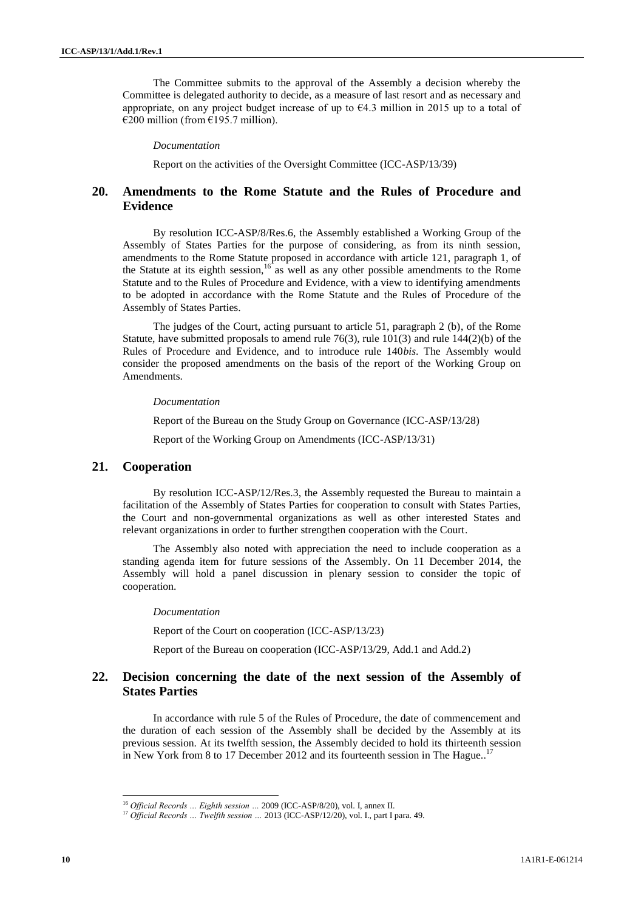The Committee submits to the approval of the Assembly a decision whereby the Committee is delegated authority to decide, as a measure of last resort and as necessary and appropriate, on any project budget increase of up to  $\epsilon$ 4.3 million in 2015 up to a total of  $€200$  million (from €195.7 million).

#### *Documentation*

Report on the activities of the Oversight Committee (ICC-ASP/13/39)

## **20. Amendments to the Rome Statute and the Rules of Procedure and Evidence**

By resolution ICC-ASP/8/Res.6, the Assembly established a Working Group of the Assembly of States Parties for the purpose of considering, as from its ninth session, amendments to the Rome Statute proposed in accordance with article 121, paragraph 1, of the Statute at its eighth session,  $16$  as well as any other possible amendments to the Rome Statute and to the Rules of Procedure and Evidence, with a view to identifying amendments to be adopted in accordance with the Rome Statute and the Rules of Procedure of the Assembly of States Parties.

The judges of the Court, acting pursuant to article 51, paragraph 2 (b), of the Rome Statute, have submitted proposals to amend rule  $76(3)$ , rule  $101(3)$  and rule  $144(2)(b)$  of the Rules of Procedure and Evidence, and to introduce rule 140*bis*. The Assembly would consider the proposed amendments on the basis of the report of the Working Group on Amendments.

#### *Documentation*

Report of the Bureau on the Study Group on Governance (ICC-ASP/13/28) Report of the Working Group on Amendments (ICC-ASP/13/31)

## **21. Cooperation**

By resolution ICC-ASP/12/Res.3, the Assembly requested the Bureau to maintain a facilitation of the Assembly of States Parties for cooperation to consult with States Parties, the Court and non-governmental organizations as well as other interested States and relevant organizations in order to further strengthen cooperation with the Court.

The Assembly also noted with appreciation the need to include cooperation as a standing agenda item for future sessions of the Assembly. On 11 December 2014, the Assembly will hold a panel discussion in plenary session to consider the topic of cooperation.

#### *Documentation*

Report of the Court on cooperation (ICC-ASP/13/23)

Report of the Bureau on cooperation (ICC-ASP/13/29, Add.1 and Add.2)

## **22. Decision concerning the date of the next session of the Assembly of States Parties**

In accordance with rule 5 of the Rules of Procedure, the date of commencement and the duration of each session of the Assembly shall be decided by the Assembly at its previous session. At its twelfth session, the Assembly decided to hold its thirteenth session in New York from 8 to 17 December 2012 and its fourteenth session in The Hague..<sup>17</sup>

 $\overline{a}$ 

<sup>16</sup> *Official Records … Eighth session …* 2009 (ICC-ASP/8/20), vol. I, annex II.

<sup>17</sup> *Official Records … Twelfth session …* 2013 (ICC-ASP/12/20), vol. I., part I para. 49.